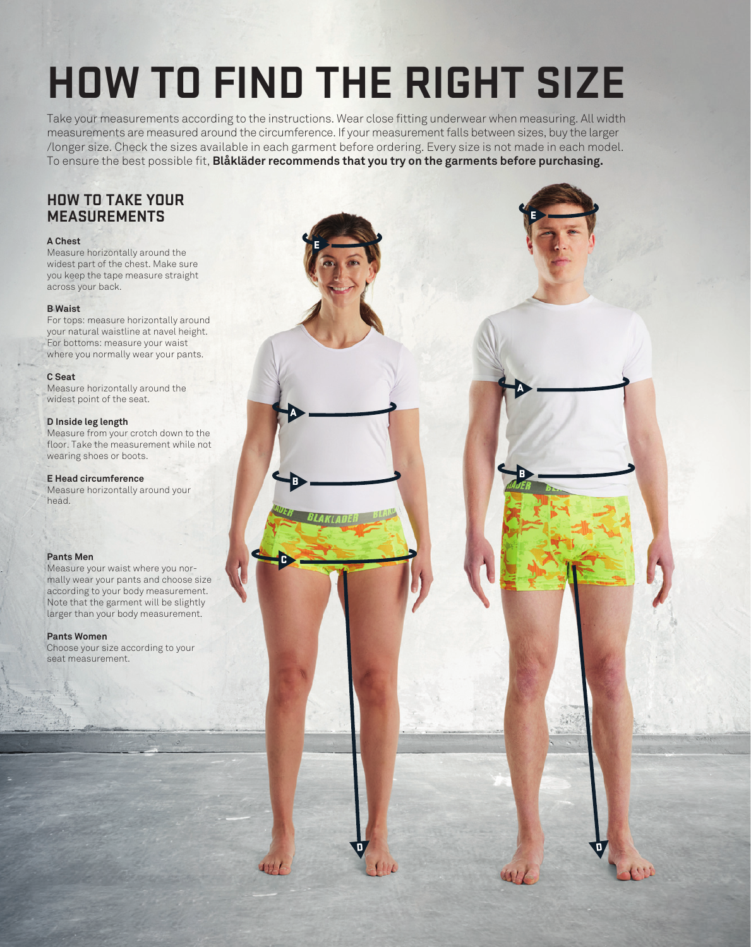# **HOW TO FIND THE RIGHT SIZE**

Take your measurements according to the instructions. Wear close fitting underwear when measuring. All width measurements are measured around the circumference. If your measurement falls between sizes, buy the larger /longer size. Check the sizes available in each garment before ordering. Every size is not made in each model. To ensure the best possible fit, **Blåkläder recommends that you try on the garments before purchasing.** 

E

A

B

LAKLADE

C

D

D

E

B

A

# **HOW TO TAKE YOUR MEASUREMENTS**

## **A Chest**

Measure horizontally around the widest part of the chest. Make sure you keep the tape measure straight across your back.

## **B Waist**

For tops: measure horizontally around your natural waistline at navel height. For bottoms: measure your waist where you normally wear your pants.

## **C Seat**

Measure horizontally around the widest point of the seat.

## **D Inside leg length**

Measure from your crotch down to the floor. Take the measurement while not wearing shoes or boots.

#### **E Head circumference**

Measure horizontally around your head.

## **Pants Men**

Measure your waist where you normally wear your pants and choose size according to your body measurement. Note that the garment will be slightly larger than your body measurement.

#### **Pants Women**

Choose your size according to your seat measurement.